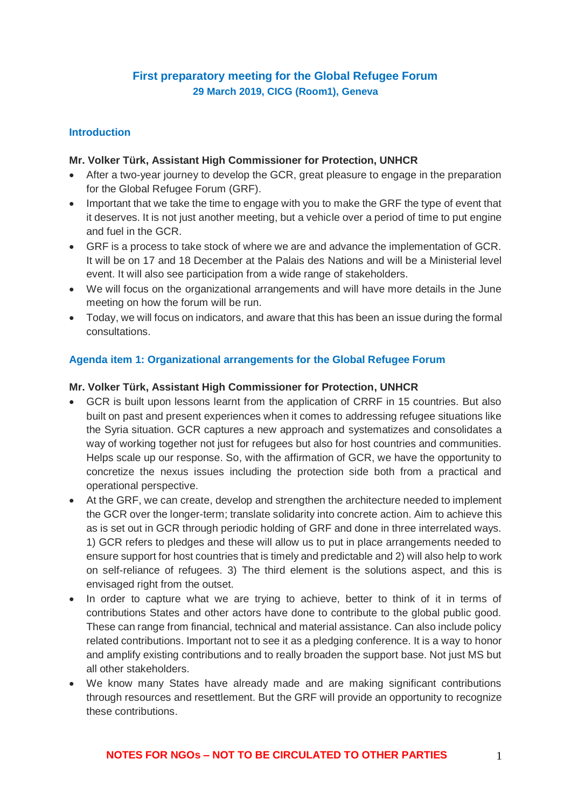# **First preparatory meeting for the Global Refugee Forum 29 March 2019, CICG (Room1), Geneva**

### **Introduction**

### **Mr. Volker Türk, Assistant High Commissioner for Protection, UNHCR**

- After a two-year journey to develop the GCR, great pleasure to engage in the preparation for the Global Refugee Forum (GRF).
- Important that we take the time to engage with you to make the GRF the type of event that it deserves. It is not just another meeting, but a vehicle over a period of time to put engine and fuel in the GCR.
- GRF is a process to take stock of where we are and advance the implementation of GCR. It will be on 17 and 18 December at the Palais des Nations and will be a Ministerial level event. It will also see participation from a wide range of stakeholders.
- We will focus on the organizational arrangements and will have more details in the June meeting on how the forum will be run.
- Today, we will focus on indicators, and aware that this has been an issue during the formal consultations.

### **Agenda item 1: Organizational arrangements for the Global Refugee Forum**

### **Mr. Volker Türk, Assistant High Commissioner for Protection, UNHCR**

- GCR is built upon lessons learnt from the application of CRRF in 15 countries. But also built on past and present experiences when it comes to addressing refugee situations like the Syria situation. GCR captures a new approach and systematizes and consolidates a way of working together not just for refugees but also for host countries and communities. Helps scale up our response. So, with the affirmation of GCR, we have the opportunity to concretize the nexus issues including the protection side both from a practical and operational perspective.
- At the GRF, we can create, develop and strengthen the architecture needed to implement the GCR over the longer-term; translate solidarity into concrete action. Aim to achieve this as is set out in GCR through periodic holding of GRF and done in three interrelated ways. 1) GCR refers to pledges and these will allow us to put in place arrangements needed to ensure support for host countries that is timely and predictable and 2) will also help to work on self-reliance of refugees. 3) The third element is the solutions aspect, and this is envisaged right from the outset.
- In order to capture what we are trying to achieve, better to think of it in terms of contributions States and other actors have done to contribute to the global public good. These can range from financial, technical and material assistance. Can also include policy related contributions. Important not to see it as a pledging conference. It is a way to honor and amplify existing contributions and to really broaden the support base. Not just MS but all other stakeholders.
- We know many States have already made and are making significant contributions through resources and resettlement. But the GRF will provide an opportunity to recognize these contributions.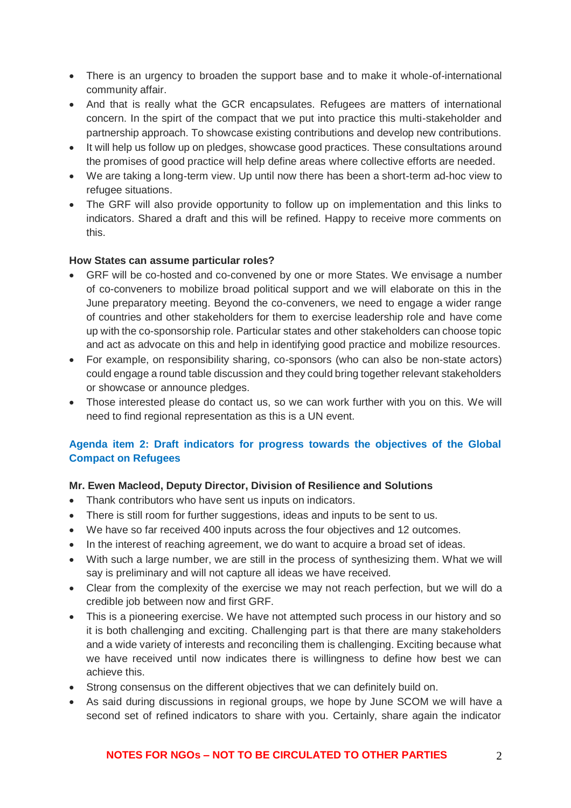- There is an urgency to broaden the support base and to make it whole-of-international community affair.
- And that is really what the GCR encapsulates. Refugees are matters of international concern. In the spirt of the compact that we put into practice this multi-stakeholder and partnership approach. To showcase existing contributions and develop new contributions.
- It will help us follow up on pledges, showcase good practices. These consultations around the promises of good practice will help define areas where collective efforts are needed.
- We are taking a long-term view. Up until now there has been a short-term ad-hoc view to refugee situations.
- The GRF will also provide opportunity to follow up on implementation and this links to indicators. Shared a draft and this will be refined. Happy to receive more comments on this.

### **How States can assume particular roles?**

- GRF will be co-hosted and co-convened by one or more States. We envisage a number of co-conveners to mobilize broad political support and we will elaborate on this in the June preparatory meeting. Beyond the co-conveners, we need to engage a wider range of countries and other stakeholders for them to exercise leadership role and have come up with the co-sponsorship role. Particular states and other stakeholders can choose topic and act as advocate on this and help in identifying good practice and mobilize resources.
- For example, on responsibility sharing, co-sponsors (who can also be non-state actors) could engage a round table discussion and they could bring together relevant stakeholders or showcase or announce pledges.
- Those interested please do contact us, so we can work further with you on this. We will need to find regional representation as this is a UN event.

# **Agenda item 2: Draft indicators for progress towards the objectives of the Global Compact on Refugees**

## **Mr. Ewen Macleod, Deputy Director, Division of Resilience and Solutions**

- Thank contributors who have sent us inputs on indicators.
- There is still room for further suggestions, ideas and inputs to be sent to us.
- We have so far received 400 inputs across the four objectives and 12 outcomes.
- In the interest of reaching agreement, we do want to acquire a broad set of ideas.
- With such a large number, we are still in the process of synthesizing them. What we will say is preliminary and will not capture all ideas we have received.
- Clear from the complexity of the exercise we may not reach perfection, but we will do a credible job between now and first GRF.
- This is a pioneering exercise. We have not attempted such process in our history and so it is both challenging and exciting. Challenging part is that there are many stakeholders and a wide variety of interests and reconciling them is challenging. Exciting because what we have received until now indicates there is willingness to define how best we can achieve this.
- Strong consensus on the different objectives that we can definitely build on.
- As said during discussions in regional groups, we hope by June SCOM we will have a second set of refined indicators to share with you. Certainly, share again the indicator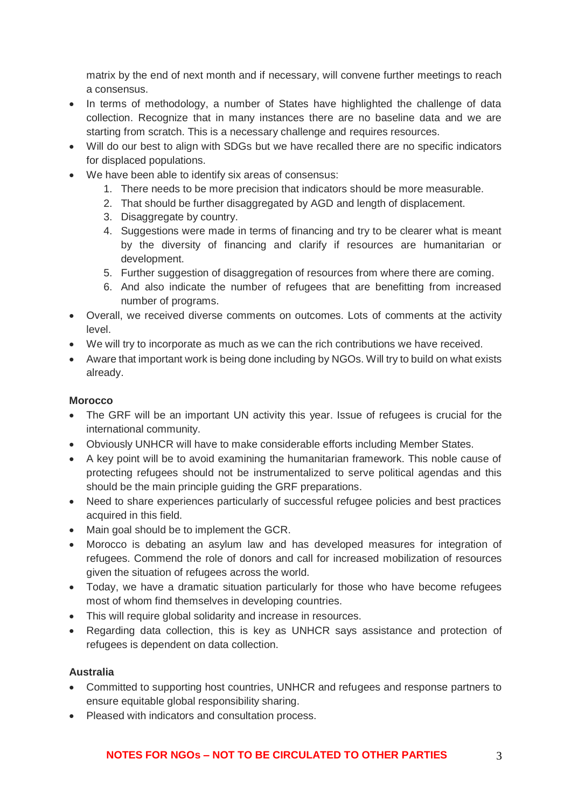matrix by the end of next month and if necessary, will convene further meetings to reach a consensus.

- In terms of methodology, a number of States have highlighted the challenge of data collection. Recognize that in many instances there are no baseline data and we are starting from scratch. This is a necessary challenge and requires resources.
- Will do our best to align with SDGs but we have recalled there are no specific indicators for displaced populations.
- We have been able to identify six areas of consensus:
	- 1. There needs to be more precision that indicators should be more measurable.
	- 2. That should be further disaggregated by AGD and length of displacement.
	- 3. Disaggregate by country.
	- 4. Suggestions were made in terms of financing and try to be clearer what is meant by the diversity of financing and clarify if resources are humanitarian or development.
	- 5. Further suggestion of disaggregation of resources from where there are coming.
	- 6. And also indicate the number of refugees that are benefitting from increased number of programs.
- Overall, we received diverse comments on outcomes. Lots of comments at the activity level.
- We will try to incorporate as much as we can the rich contributions we have received.
- Aware that important work is being done including by NGOs. Will try to build on what exists already.

## **Morocco**

- The GRF will be an important UN activity this year. Issue of refugees is crucial for the international community.
- Obviously UNHCR will have to make considerable efforts including Member States.
- A key point will be to avoid examining the humanitarian framework. This noble cause of protecting refugees should not be instrumentalized to serve political agendas and this should be the main principle guiding the GRF preparations.
- Need to share experiences particularly of successful refugee policies and best practices acquired in this field.
- Main goal should be to implement the GCR.
- Morocco is debating an asylum law and has developed measures for integration of refugees. Commend the role of donors and call for increased mobilization of resources given the situation of refugees across the world.
- Today, we have a dramatic situation particularly for those who have become refugees most of whom find themselves in developing countries.
- This will require global solidarity and increase in resources.
- Regarding data collection, this is key as UNHCR says assistance and protection of refugees is dependent on data collection.

## **Australia**

- Committed to supporting host countries, UNHCR and refugees and response partners to ensure equitable global responsibility sharing.
- Pleased with indicators and consultation process.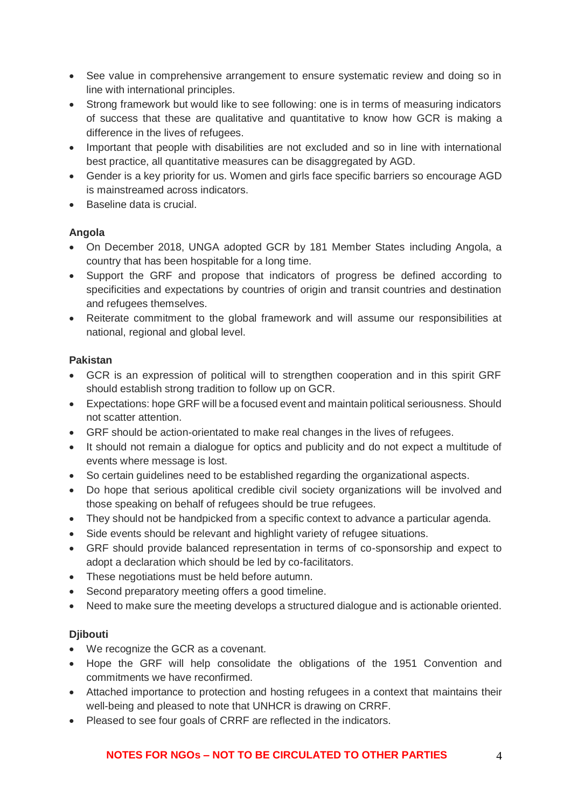- See value in comprehensive arrangement to ensure systematic review and doing so in line with international principles.
- Strong framework but would like to see following: one is in terms of measuring indicators of success that these are qualitative and quantitative to know how GCR is making a difference in the lives of refugees.
- Important that people with disabilities are not excluded and so in line with international best practice, all quantitative measures can be disaggregated by AGD.
- Gender is a key priority for us. Women and girls face specific barriers so encourage AGD is mainstreamed across indicators.
- Baseline data is crucial.

## **Angola**

- On December 2018, UNGA adopted GCR by 181 Member States including Angola, a country that has been hospitable for a long time.
- Support the GRF and propose that indicators of progress be defined according to specificities and expectations by countries of origin and transit countries and destination and refugees themselves.
- Reiterate commitment to the global framework and will assume our responsibilities at national, regional and global level.

# **Pakistan**

- GCR is an expression of political will to strengthen cooperation and in this spirit GRF should establish strong tradition to follow up on GCR.
- Expectations: hope GRF will be a focused event and maintain political seriousness. Should not scatter attention.
- GRF should be action-orientated to make real changes in the lives of refugees.
- It should not remain a dialogue for optics and publicity and do not expect a multitude of events where message is lost.
- So certain guidelines need to be established regarding the organizational aspects.
- Do hope that serious apolitical credible civil society organizations will be involved and those speaking on behalf of refugees should be true refugees.
- They should not be handpicked from a specific context to advance a particular agenda.
- Side events should be relevant and highlight variety of refugee situations.
- GRF should provide balanced representation in terms of co-sponsorship and expect to adopt a declaration which should be led by co-facilitators.
- These negotiations must be held before autumn.
- Second preparatory meeting offers a good timeline.
- Need to make sure the meeting develops a structured dialogue and is actionable oriented.

# **Djibouti**

- We recognize the GCR as a covenant.
- Hope the GRF will help consolidate the obligations of the 1951 Convention and commitments we have reconfirmed.
- Attached importance to protection and hosting refugees in a context that maintains their well-being and pleased to note that UNHCR is drawing on CRRF.
- Pleased to see four goals of CRRF are reflected in the indicators.

# **NOTES FOR NGOs – NOT TO BE CIRCULATED TO OTHER PARTIES** 4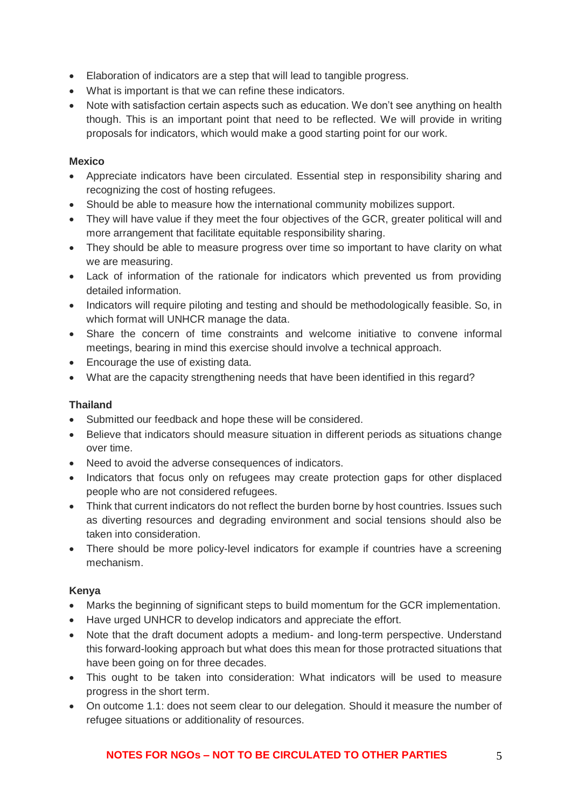- Elaboration of indicators are a step that will lead to tangible progress.
- What is important is that we can refine these indicators.
- Note with satisfaction certain aspects such as education. We don't see anything on health though. This is an important point that need to be reflected. We will provide in writing proposals for indicators, which would make a good starting point for our work.

### **Mexico**

- Appreciate indicators have been circulated. Essential step in responsibility sharing and recognizing the cost of hosting refugees.
- Should be able to measure how the international community mobilizes support.
- They will have value if they meet the four objectives of the GCR, greater political will and more arrangement that facilitate equitable responsibility sharing.
- They should be able to measure progress over time so important to have clarity on what we are measuring.
- Lack of information of the rationale for indicators which prevented us from providing detailed information.
- Indicators will require piloting and testing and should be methodologically feasible. So, in which format will UNHCR manage the data.
- Share the concern of time constraints and welcome initiative to convene informal meetings, bearing in mind this exercise should involve a technical approach.
- Encourage the use of existing data.
- What are the capacity strengthening needs that have been identified in this regard?

### **Thailand**

- Submitted our feedback and hope these will be considered.
- Believe that indicators should measure situation in different periods as situations change over time.
- Need to avoid the adverse consequences of indicators.
- Indicators that focus only on refugees may create protection gaps for other displaced people who are not considered refugees.
- Think that current indicators do not reflect the burden borne by host countries. Issues such as diverting resources and degrading environment and social tensions should also be taken into consideration.
- There should be more policy-level indicators for example if countries have a screening mechanism.

#### **Kenya**

- Marks the beginning of significant steps to build momentum for the GCR implementation.
- Have urged UNHCR to develop indicators and appreciate the effort.
- Note that the draft document adopts a medium- and long-term perspective. Understand this forward-looking approach but what does this mean for those protracted situations that have been going on for three decades.
- This ought to be taken into consideration: What indicators will be used to measure progress in the short term.
- On outcome 1.1: does not seem clear to our delegation. Should it measure the number of refugee situations or additionality of resources.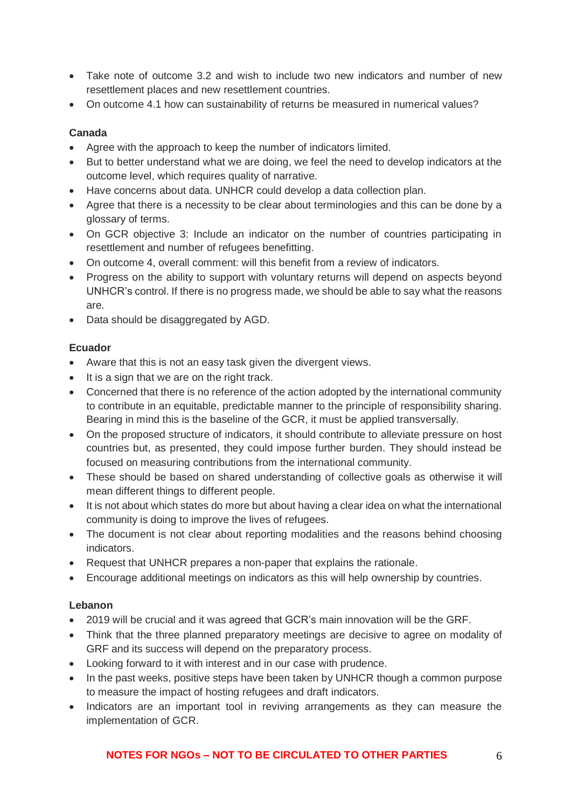- Take note of outcome 3.2 and wish to include two new indicators and number of new resettlement places and new resettlement countries.
- On outcome 4.1 how can sustainability of returns be measured in numerical values?

## **Canada**

- Agree with the approach to keep the number of indicators limited.
- But to better understand what we are doing, we feel the need to develop indicators at the outcome level, which requires quality of narrative.
- Have concerns about data. UNHCR could develop a data collection plan.
- Agree that there is a necessity to be clear about terminologies and this can be done by a glossary of terms.
- On GCR objective 3: Include an indicator on the number of countries participating in resettlement and number of refugees benefitting.
- On outcome 4, overall comment: will this benefit from a review of indicators.
- Progress on the ability to support with voluntary returns will depend on aspects beyond UNHCR's control. If there is no progress made, we should be able to say what the reasons are.
- Data should be disaggregated by AGD.

# **Ecuador**

- Aware that this is not an easy task given the divergent views.
- It is a sign that we are on the right track.
- Concerned that there is no reference of the action adopted by the international community to contribute in an equitable, predictable manner to the principle of responsibility sharing. Bearing in mind this is the baseline of the GCR, it must be applied transversally.
- On the proposed structure of indicators, it should contribute to alleviate pressure on host countries but, as presented, they could impose further burden. They should instead be focused on measuring contributions from the international community.
- These should be based on shared understanding of collective goals as otherwise it will mean different things to different people.
- It is not about which states do more but about having a clear idea on what the international community is doing to improve the lives of refugees.
- The document is not clear about reporting modalities and the reasons behind choosing indicators.
- Request that UNHCR prepares a non-paper that explains the rationale.
- Encourage additional meetings on indicators as this will help ownership by countries.

## **Lebanon**

- 2019 will be crucial and it was agreed that GCR's main innovation will be the GRF.
- Think that the three planned preparatory meetings are decisive to agree on modality of GRF and its success will depend on the preparatory process.
- Looking forward to it with interest and in our case with prudence.
- In the past weeks, positive steps have been taken by UNHCR though a common purpose to measure the impact of hosting refugees and draft indicators.
- Indicators are an important tool in reviving arrangements as they can measure the implementation of GCR.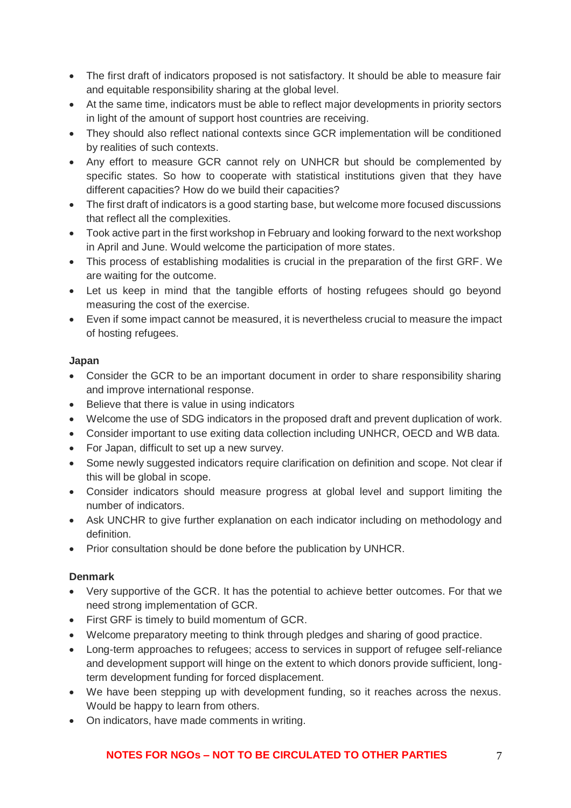- The first draft of indicators proposed is not satisfactory. It should be able to measure fair and equitable responsibility sharing at the global level.
- At the same time, indicators must be able to reflect major developments in priority sectors in light of the amount of support host countries are receiving.
- They should also reflect national contexts since GCR implementation will be conditioned by realities of such contexts.
- Any effort to measure GCR cannot rely on UNHCR but should be complemented by specific states. So how to cooperate with statistical institutions given that they have different capacities? How do we build their capacities?
- The first draft of indicators is a good starting base, but welcome more focused discussions that reflect all the complexities.
- Took active part in the first workshop in February and looking forward to the next workshop in April and June. Would welcome the participation of more states.
- This process of establishing modalities is crucial in the preparation of the first GRF. We are waiting for the outcome.
- Let us keep in mind that the tangible efforts of hosting refugees should go beyond measuring the cost of the exercise.
- Even if some impact cannot be measured, it is nevertheless crucial to measure the impact of hosting refugees.

## **Japan**

- Consider the GCR to be an important document in order to share responsibility sharing and improve international response.
- Believe that there is value in using indicators
- Welcome the use of SDG indicators in the proposed draft and prevent duplication of work.
- Consider important to use exiting data collection including UNHCR, OECD and WB data.
- For Japan, difficult to set up a new survey.
- Some newly suggested indicators require clarification on definition and scope. Not clear if this will be global in scope.
- Consider indicators should measure progress at global level and support limiting the number of indicators.
- Ask UNCHR to give further explanation on each indicator including on methodology and definition.
- Prior consultation should be done before the publication by UNHCR.

## **Denmark**

- Very supportive of the GCR. It has the potential to achieve better outcomes. For that we need strong implementation of GCR.
- First GRF is timely to build momentum of GCR.
- Welcome preparatory meeting to think through pledges and sharing of good practice.
- Long-term approaches to refugees; access to services in support of refugee self-reliance and development support will hinge on the extent to which donors provide sufficient, longterm development funding for forced displacement.
- We have been stepping up with development funding, so it reaches across the nexus. Would be happy to learn from others.
- On indicators, have made comments in writing.

# **NOTES FOR NGOs – NOT TO BE CIRCULATED TO OTHER PARTIES** 7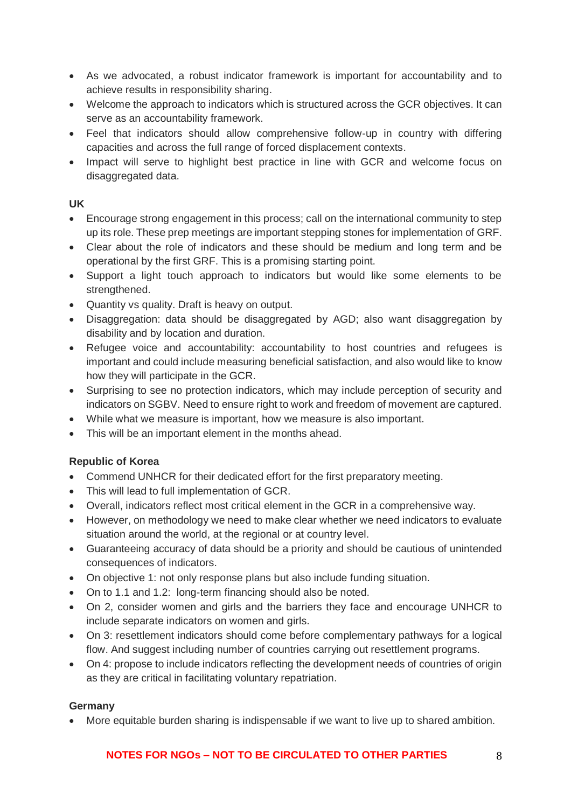- As we advocated, a robust indicator framework is important for accountability and to achieve results in responsibility sharing.
- Welcome the approach to indicators which is structured across the GCR objectives. It can serve as an accountability framework.
- Feel that indicators should allow comprehensive follow-up in country with differing capacities and across the full range of forced displacement contexts.
- Impact will serve to highlight best practice in line with GCR and welcome focus on disaggregated data.

## **UK**

- Encourage strong engagement in this process; call on the international community to step up its role. These prep meetings are important stepping stones for implementation of GRF.
- Clear about the role of indicators and these should be medium and long term and be operational by the first GRF. This is a promising starting point.
- Support a light touch approach to indicators but would like some elements to be strengthened.
- Quantity vs quality. Draft is heavy on output.
- Disaggregation: data should be disaggregated by AGD; also want disaggregation by disability and by location and duration.
- Refugee voice and accountability: accountability to host countries and refugees is important and could include measuring beneficial satisfaction, and also would like to know how they will participate in the GCR.
- Surprising to see no protection indicators, which may include perception of security and indicators on SGBV. Need to ensure right to work and freedom of movement are captured.
- While what we measure is important, how we measure is also important.
- This will be an important element in the months ahead.

# **Republic of Korea**

- Commend UNHCR for their dedicated effort for the first preparatory meeting.
- This will lead to full implementation of GCR.
- Overall, indicators reflect most critical element in the GCR in a comprehensive way.
- However, on methodology we need to make clear whether we need indicators to evaluate situation around the world, at the regional or at country level.
- Guaranteeing accuracy of data should be a priority and should be cautious of unintended consequences of indicators.
- On objective 1: not only response plans but also include funding situation.
- On to 1.1 and 1.2: long-term financing should also be noted.
- On 2, consider women and girls and the barriers they face and encourage UNHCR to include separate indicators on women and girls.
- On 3: resettlement indicators should come before complementary pathways for a logical flow. And suggest including number of countries carrying out resettlement programs.
- On 4: propose to include indicators reflecting the development needs of countries of origin as they are critical in facilitating voluntary repatriation.

## **Germany**

• More equitable burden sharing is indispensable if we want to live up to shared ambition.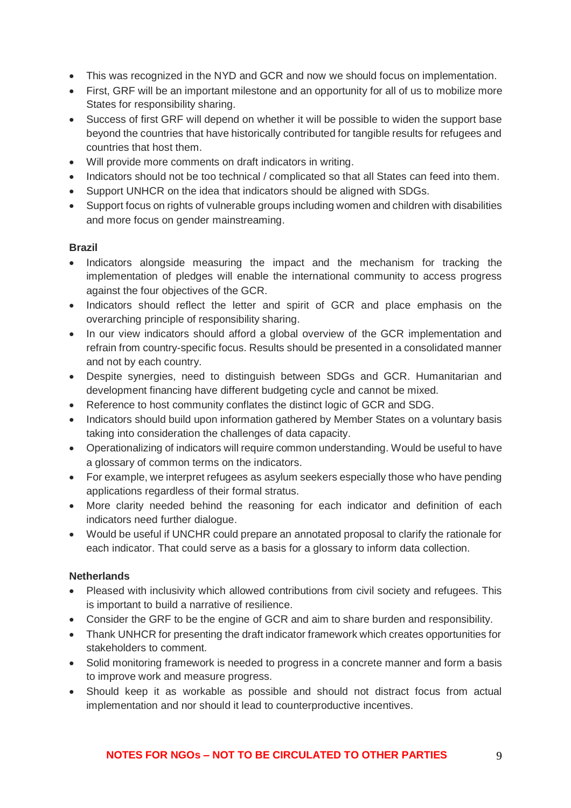- This was recognized in the NYD and GCR and now we should focus on implementation.
- First, GRF will be an important milestone and an opportunity for all of us to mobilize more States for responsibility sharing.
- Success of first GRF will depend on whether it will be possible to widen the support base beyond the countries that have historically contributed for tangible results for refugees and countries that host them.
- Will provide more comments on draft indicators in writing.
- Indicators should not be too technical / complicated so that all States can feed into them.
- Support UNHCR on the idea that indicators should be aligned with SDGs.
- Support focus on rights of vulnerable groups including women and children with disabilities and more focus on gender mainstreaming.

## **Brazil**

- Indicators alongside measuring the impact and the mechanism for tracking the implementation of pledges will enable the international community to access progress against the four objectives of the GCR.
- Indicators should reflect the letter and spirit of GCR and place emphasis on the overarching principle of responsibility sharing.
- In our view indicators should afford a global overview of the GCR implementation and refrain from country-specific focus. Results should be presented in a consolidated manner and not by each country.
- Despite synergies, need to distinguish between SDGs and GCR. Humanitarian and development financing have different budgeting cycle and cannot be mixed.
- Reference to host community conflates the distinct logic of GCR and SDG.
- Indicators should build upon information gathered by Member States on a voluntary basis taking into consideration the challenges of data capacity.
- Operationalizing of indicators will require common understanding. Would be useful to have a glossary of common terms on the indicators.
- For example, we interpret refugees as asylum seekers especially those who have pending applications regardless of their formal stratus.
- More clarity needed behind the reasoning for each indicator and definition of each indicators need further dialogue.
- Would be useful if UNCHR could prepare an annotated proposal to clarify the rationale for each indicator. That could serve as a basis for a glossary to inform data collection.

## **Netherlands**

- Pleased with inclusivity which allowed contributions from civil society and refugees. This is important to build a narrative of resilience.
- Consider the GRF to be the engine of GCR and aim to share burden and responsibility.
- Thank UNHCR for presenting the draft indicator framework which creates opportunities for stakeholders to comment.
- Solid monitoring framework is needed to progress in a concrete manner and form a basis to improve work and measure progress.
- Should keep it as workable as possible and should not distract focus from actual implementation and nor should it lead to counterproductive incentives.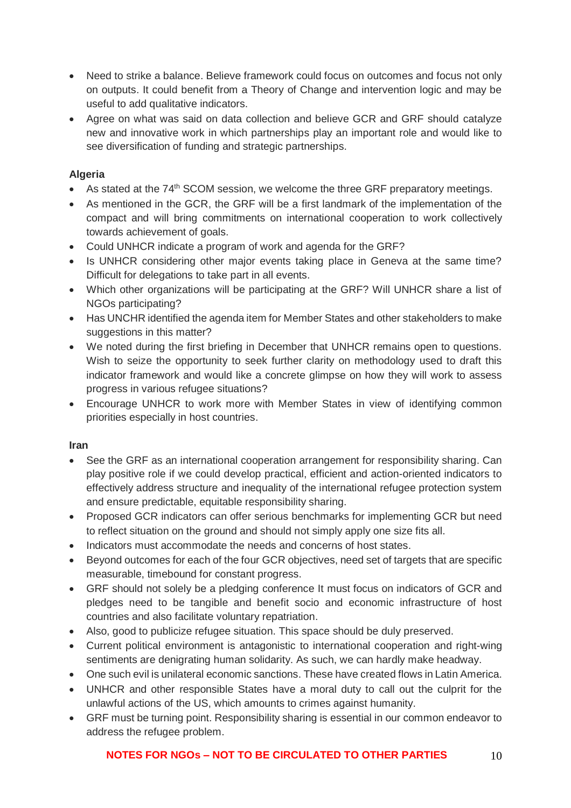- Need to strike a balance. Believe framework could focus on outcomes and focus not only on outputs. It could benefit from a Theory of Change and intervention logic and may be useful to add qualitative indicators.
- Agree on what was said on data collection and believe GCR and GRF should catalyze new and innovative work in which partnerships play an important role and would like to see diversification of funding and strategic partnerships.

## **Algeria**

- As stated at the 74<sup>th</sup> SCOM session, we welcome the three GRF preparatory meetings.
- As mentioned in the GCR, the GRF will be a first landmark of the implementation of the compact and will bring commitments on international cooperation to work collectively towards achievement of goals.
- Could UNHCR indicate a program of work and agenda for the GRF?
- Is UNHCR considering other major events taking place in Geneva at the same time? Difficult for delegations to take part in all events.
- Which other organizations will be participating at the GRF? Will UNHCR share a list of NGOs participating?
- Has UNCHR identified the agenda item for Member States and other stakeholders to make suggestions in this matter?
- We noted during the first briefing in December that UNHCR remains open to questions. Wish to seize the opportunity to seek further clarity on methodology used to draft this indicator framework and would like a concrete glimpse on how they will work to assess progress in various refugee situations?
- Encourage UNHCR to work more with Member States in view of identifying common priorities especially in host countries.

## **Iran**

- See the GRF as an international cooperation arrangement for responsibility sharing. Can play positive role if we could develop practical, efficient and action-oriented indicators to effectively address structure and inequality of the international refugee protection system and ensure predictable, equitable responsibility sharing.
- Proposed GCR indicators can offer serious benchmarks for implementing GCR but need to reflect situation on the ground and should not simply apply one size fits all.
- Indicators must accommodate the needs and concerns of host states.
- Beyond outcomes for each of the four GCR objectives, need set of targets that are specific measurable, timebound for constant progress.
- GRF should not solely be a pledging conference It must focus on indicators of GCR and pledges need to be tangible and benefit socio and economic infrastructure of host countries and also facilitate voluntary repatriation.
- Also, good to publicize refugee situation. This space should be duly preserved.
- Current political environment is antagonistic to international cooperation and right-wing sentiments are denigrating human solidarity. As such, we can hardly make headway.
- One such evil is unilateral economic sanctions. These have created flows in Latin America.
- UNHCR and other responsible States have a moral duty to call out the culprit for the unlawful actions of the US, which amounts to crimes against humanity.
- GRF must be turning point. Responsibility sharing is essential in our common endeavor to address the refugee problem.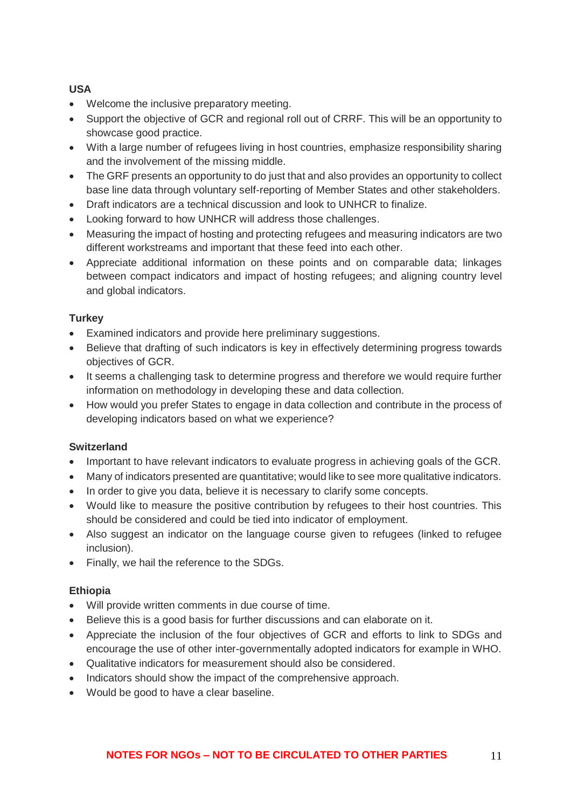## **USA**

- Welcome the inclusive preparatory meeting.
- Support the objective of GCR and regional roll out of CRRF. This will be an opportunity to showcase good practice.
- With a large number of refugees living in host countries, emphasize responsibility sharing and the involvement of the missing middle.
- The GRF presents an opportunity to do just that and also provides an opportunity to collect base line data through voluntary self-reporting of Member States and other stakeholders.
- Draft indicators are a technical discussion and look to UNHCR to finalize.
- Looking forward to how UNHCR will address those challenges.
- Measuring the impact of hosting and protecting refugees and measuring indicators are two different workstreams and important that these feed into each other.
- Appreciate additional information on these points and on comparable data; linkages between compact indicators and impact of hosting refugees; and aligning country level and global indicators.

## **Turkey**

- Examined indicators and provide here preliminary suggestions.
- Believe that drafting of such indicators is key in effectively determining progress towards objectives of GCR.
- It seems a challenging task to determine progress and therefore we would require further information on methodology in developing these and data collection.
- How would you prefer States to engage in data collection and contribute in the process of developing indicators based on what we experience?

## **Switzerland**

- Important to have relevant indicators to evaluate progress in achieving goals of the GCR.
- Many of indicators presented are quantitative; would like to see more qualitative indicators.
- In order to give you data, believe it is necessary to clarify some concepts.
- Would like to measure the positive contribution by refugees to their host countries. This should be considered and could be tied into indicator of employment.
- Also suggest an indicator on the language course given to refugees (linked to refugee inclusion).
- Finally, we hail the reference to the SDGs.

## **Ethiopia**

- Will provide written comments in due course of time.
- Believe this is a good basis for further discussions and can elaborate on it.
- Appreciate the inclusion of the four objectives of GCR and efforts to link to SDGs and encourage the use of other inter-governmentally adopted indicators for example in WHO.
- Qualitative indicators for measurement should also be considered.
- Indicators should show the impact of the comprehensive approach.
- Would be good to have a clear baseline.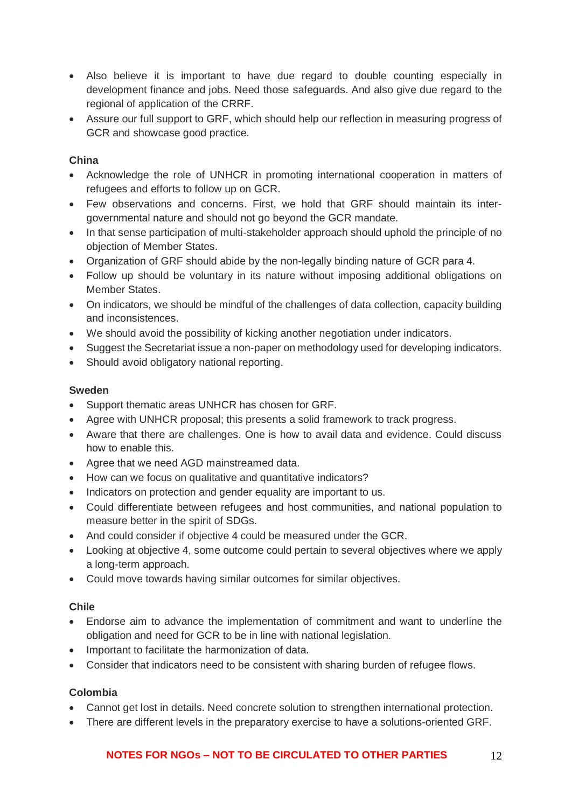- Also believe it is important to have due regard to double counting especially in development finance and jobs. Need those safeguards. And also give due regard to the regional of application of the CRRF.
- Assure our full support to GRF, which should help our reflection in measuring progress of GCR and showcase good practice.

### **China**

- Acknowledge the role of UNHCR in promoting international cooperation in matters of refugees and efforts to follow up on GCR.
- Few observations and concerns. First, we hold that GRF should maintain its intergovernmental nature and should not go beyond the GCR mandate.
- In that sense participation of multi-stakeholder approach should uphold the principle of no objection of Member States.
- Organization of GRF should abide by the non-legally binding nature of GCR para 4.
- Follow up should be voluntary in its nature without imposing additional obligations on Member States.
- On indicators, we should be mindful of the challenges of data collection, capacity building and inconsistences.
- We should avoid the possibility of kicking another negotiation under indicators.
- Suggest the Secretariat issue a non-paper on methodology used for developing indicators.
- Should avoid obligatory national reporting.

#### **Sweden**

- Support thematic areas UNHCR has chosen for GRF.
- Agree with UNHCR proposal; this presents a solid framework to track progress.
- Aware that there are challenges. One is how to avail data and evidence. Could discuss how to enable this.
- Agree that we need AGD mainstreamed data.
- How can we focus on qualitative and quantitative indicators?
- Indicators on protection and gender equality are important to us.
- Could differentiate between refugees and host communities, and national population to measure better in the spirit of SDGs.
- And could consider if objective 4 could be measured under the GCR.
- Looking at objective 4, some outcome could pertain to several objectives where we apply a long-term approach.
- Could move towards having similar outcomes for similar objectives.

#### **Chile**

- Endorse aim to advance the implementation of commitment and want to underline the obligation and need for GCR to be in line with national legislation.
- Important to facilitate the harmonization of data.
- Consider that indicators need to be consistent with sharing burden of refugee flows.

#### **Colombia**

- Cannot get lost in details. Need concrete solution to strengthen international protection.
- There are different levels in the preparatory exercise to have a solutions-oriented GRF.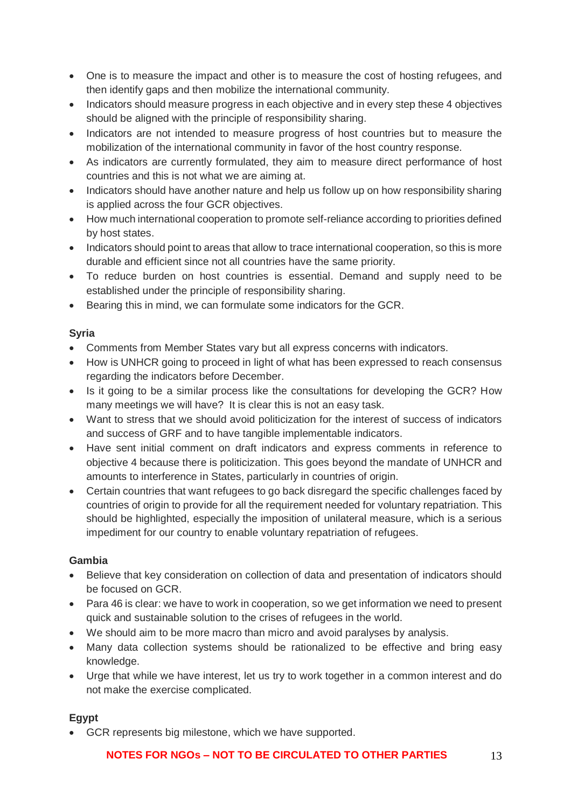- One is to measure the impact and other is to measure the cost of hosting refugees, and then identify gaps and then mobilize the international community.
- Indicators should measure progress in each objective and in every step these 4 objectives should be aligned with the principle of responsibility sharing.
- Indicators are not intended to measure progress of host countries but to measure the mobilization of the international community in favor of the host country response.
- As indicators are currently formulated, they aim to measure direct performance of host countries and this is not what we are aiming at.
- Indicators should have another nature and help us follow up on how responsibility sharing is applied across the four GCR objectives.
- How much international cooperation to promote self-reliance according to priorities defined by host states.
- Indicators should point to areas that allow to trace international cooperation, so this is more durable and efficient since not all countries have the same priority.
- To reduce burden on host countries is essential. Demand and supply need to be established under the principle of responsibility sharing.
- Bearing this in mind, we can formulate some indicators for the GCR.

# **Syria**

- Comments from Member States vary but all express concerns with indicators.
- How is UNHCR going to proceed in light of what has been expressed to reach consensus regarding the indicators before December.
- Is it going to be a similar process like the consultations for developing the GCR? How many meetings we will have? It is clear this is not an easy task.
- Want to stress that we should avoid politicization for the interest of success of indicators and success of GRF and to have tangible implementable indicators.
- Have sent initial comment on draft indicators and express comments in reference to objective 4 because there is politicization. This goes beyond the mandate of UNHCR and amounts to interference in States, particularly in countries of origin.
- Certain countries that want refugees to go back disregard the specific challenges faced by countries of origin to provide for all the requirement needed for voluntary repatriation. This should be highlighted, especially the imposition of unilateral measure, which is a serious impediment for our country to enable voluntary repatriation of refugees.

## **Gambia**

- Believe that key consideration on collection of data and presentation of indicators should be focused on GCR.
- Para 46 is clear: we have to work in cooperation, so we get information we need to present quick and sustainable solution to the crises of refugees in the world.
- We should aim to be more macro than micro and avoid paralyses by analysis.
- Many data collection systems should be rationalized to be effective and bring easy knowledge.
- Urge that while we have interest, let us try to work together in a common interest and do not make the exercise complicated.

# **Egypt**

• GCR represents big milestone, which we have supported.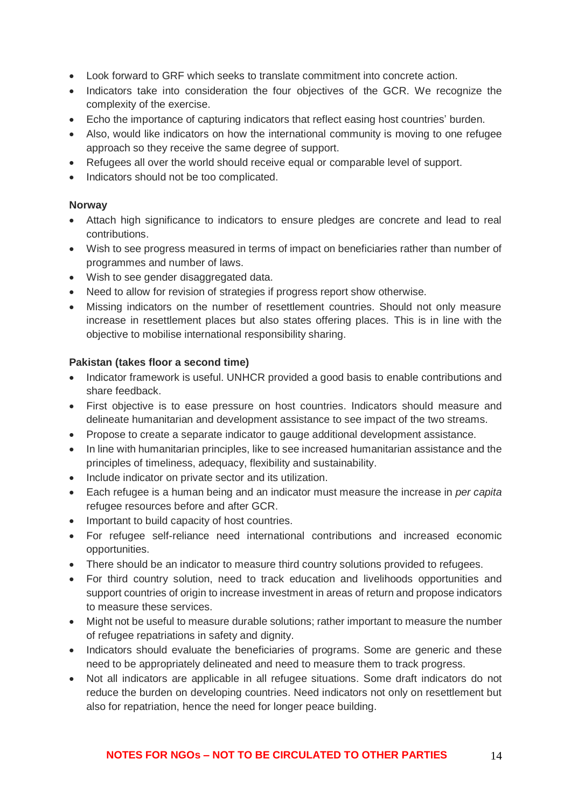- Look forward to GRF which seeks to translate commitment into concrete action.
- Indicators take into consideration the four objectives of the GCR. We recognize the complexity of the exercise.
- Echo the importance of capturing indicators that reflect easing host countries' burden.
- Also, would like indicators on how the international community is moving to one refugee approach so they receive the same degree of support.
- Refugees all over the world should receive equal or comparable level of support.
- Indicators should not be too complicated.

#### **Norway**

- Attach high significance to indicators to ensure pledges are concrete and lead to real contributions.
- Wish to see progress measured in terms of impact on beneficiaries rather than number of programmes and number of laws.
- Wish to see gender disaggregated data.
- Need to allow for revision of strategies if progress report show otherwise.
- Missing indicators on the number of resettlement countries. Should not only measure increase in resettlement places but also states offering places. This is in line with the objective to mobilise international responsibility sharing.

### **Pakistan (takes floor a second time)**

- Indicator framework is useful. UNHCR provided a good basis to enable contributions and share feedback.
- First objective is to ease pressure on host countries. Indicators should measure and delineate humanitarian and development assistance to see impact of the two streams.
- Propose to create a separate indicator to gauge additional development assistance.
- In line with humanitarian principles, like to see increased humanitarian assistance and the principles of timeliness, adequacy, flexibility and sustainability.
- Include indicator on private sector and its utilization.
- Each refugee is a human being and an indicator must measure the increase in *per capita* refugee resources before and after GCR.
- Important to build capacity of host countries.
- For refugee self-reliance need international contributions and increased economic opportunities.
- There should be an indicator to measure third country solutions provided to refugees.
- For third country solution, need to track education and livelihoods opportunities and support countries of origin to increase investment in areas of return and propose indicators to measure these services.
- Might not be useful to measure durable solutions; rather important to measure the number of refugee repatriations in safety and dignity.
- Indicators should evaluate the beneficiaries of programs. Some are generic and these need to be appropriately delineated and need to measure them to track progress.
- Not all indicators are applicable in all refugee situations. Some draft indicators do not reduce the burden on developing countries. Need indicators not only on resettlement but also for repatriation, hence the need for longer peace building.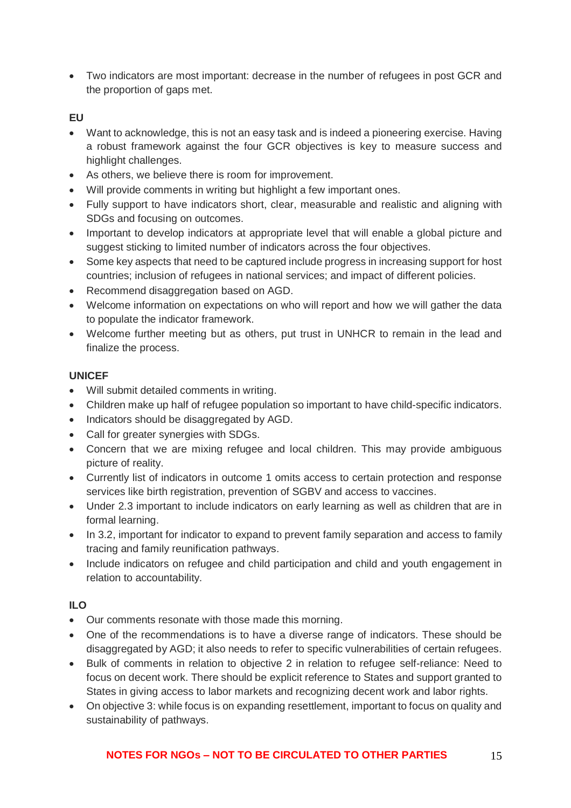• Two indicators are most important: decrease in the number of refugees in post GCR and the proportion of gaps met.

## **EU**

- Want to acknowledge, this is not an easy task and is indeed a pioneering exercise. Having a robust framework against the four GCR objectives is key to measure success and highlight challenges.
- As others, we believe there is room for improvement.
- Will provide comments in writing but highlight a few important ones.
- Fully support to have indicators short, clear, measurable and realistic and aligning with SDGs and focusing on outcomes.
- Important to develop indicators at appropriate level that will enable a global picture and suggest sticking to limited number of indicators across the four objectives.
- Some key aspects that need to be captured include progress in increasing support for host countries; inclusion of refugees in national services; and impact of different policies.
- Recommend disaggregation based on AGD.
- Welcome information on expectations on who will report and how we will gather the data to populate the indicator framework.
- Welcome further meeting but as others, put trust in UNHCR to remain in the lead and finalize the process.

#### **UNICEF**

- Will submit detailed comments in writing.
- Children make up half of refugee population so important to have child-specific indicators.
- Indicators should be disaggregated by AGD.
- Call for greater synergies with SDGs.
- Concern that we are mixing refugee and local children. This may provide ambiguous picture of reality.
- Currently list of indicators in outcome 1 omits access to certain protection and response services like birth registration, prevention of SGBV and access to vaccines.
- Under 2.3 important to include indicators on early learning as well as children that are in formal learning.
- In 3.2, important for indicator to expand to prevent family separation and access to family tracing and family reunification pathways.
- Include indicators on refugee and child participation and child and youth engagement in relation to accountability.

## **ILO**

- Our comments resonate with those made this morning.
- One of the recommendations is to have a diverse range of indicators. These should be disaggregated by AGD; it also needs to refer to specific vulnerabilities of certain refugees.
- Bulk of comments in relation to objective 2 in relation to refugee self-reliance: Need to focus on decent work. There should be explicit reference to States and support granted to States in giving access to labor markets and recognizing decent work and labor rights.
- On objective 3: while focus is on expanding resettlement, important to focus on quality and sustainability of pathways.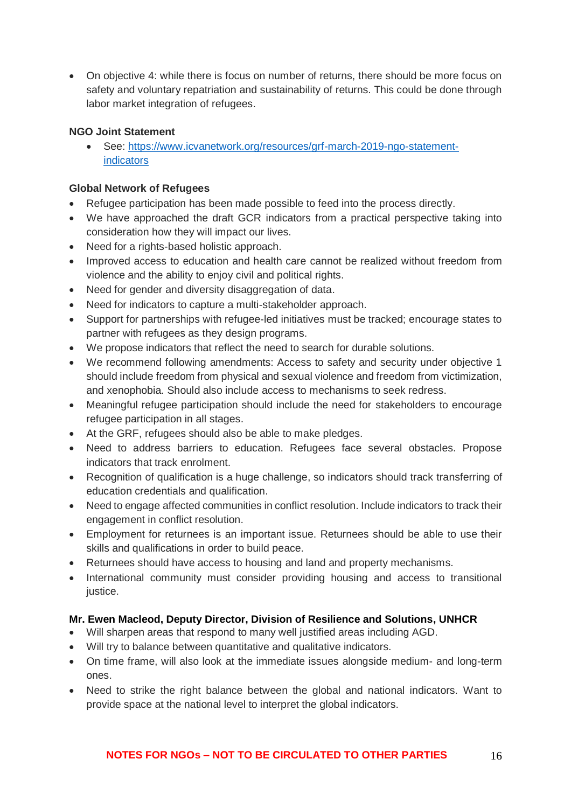• On objective 4: while there is focus on number of returns, there should be more focus on safety and voluntary repatriation and sustainability of returns. This could be done through labor market integration of refugees.

### **NGO Joint Statement**

• See: [https://www.icvanetwork.org/resources/grf-march-2019-ngo-statement](https://www.icvanetwork.org/resources/grf-march-2019-ngo-statement-indicators)[indicators](https://www.icvanetwork.org/resources/grf-march-2019-ngo-statement-indicators)

### **Global Network of Refugees**

- Refugee participation has been made possible to feed into the process directly.
- We have approached the draft GCR indicators from a practical perspective taking into consideration how they will impact our lives.
- Need for a rights-based holistic approach.
- Improved access to education and health care cannot be realized without freedom from violence and the ability to enjoy civil and political rights.
- Need for gender and diversity disaggregation of data.
- Need for indicators to capture a multi-stakeholder approach.
- Support for partnerships with refugee-led initiatives must be tracked; encourage states to partner with refugees as they design programs.
- We propose indicators that reflect the need to search for durable solutions.
- We recommend following amendments: Access to safety and security under objective 1 should include freedom from physical and sexual violence and freedom from victimization, and xenophobia. Should also include access to mechanisms to seek redress.
- Meaningful refugee participation should include the need for stakeholders to encourage refugee participation in all stages.
- At the GRF, refugees should also be able to make pledges.
- Need to address barriers to education. Refugees face several obstacles. Propose indicators that track enrolment.
- Recognition of qualification is a huge challenge, so indicators should track transferring of education credentials and qualification.
- Need to engage affected communities in conflict resolution. Include indicators to track their engagement in conflict resolution.
- Employment for returnees is an important issue. Returnees should be able to use their skills and qualifications in order to build peace.
- Returnees should have access to housing and land and property mechanisms.
- International community must consider providing housing and access to transitional justice.

## **Mr. Ewen Macleod, Deputy Director, Division of Resilience and Solutions, UNHCR**

- Will sharpen areas that respond to many well justified areas including AGD.
- Will try to balance between quantitative and qualitative indicators.
- On time frame, will also look at the immediate issues alongside medium- and long-term ones.
- Need to strike the right balance between the global and national indicators. Want to provide space at the national level to interpret the global indicators.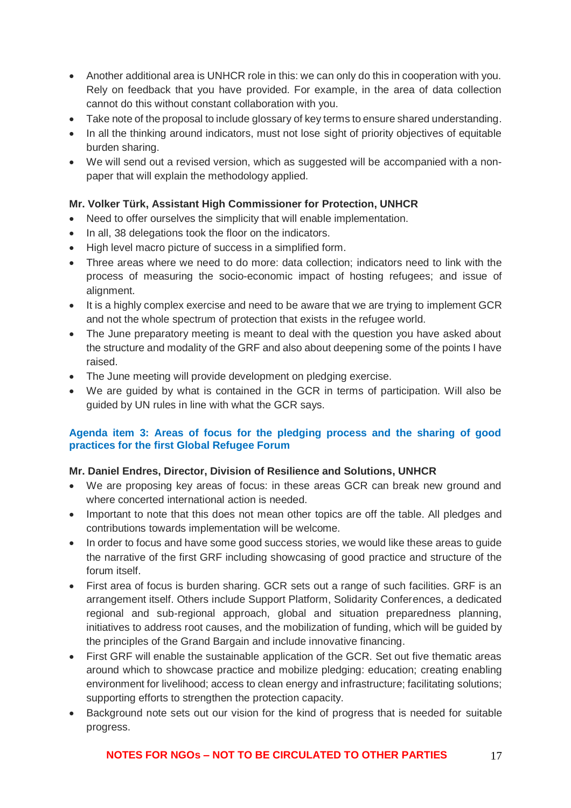- Another additional area is UNHCR role in this: we can only do this in cooperation with you. Rely on feedback that you have provided. For example, in the area of data collection cannot do this without constant collaboration with you.
- Take note of the proposal to include glossary of key terms to ensure shared understanding.
- In all the thinking around indicators, must not lose sight of priority objectives of equitable burden sharing.
- We will send out a revised version, which as suggested will be accompanied with a nonpaper that will explain the methodology applied.

# **Mr. Volker Türk, Assistant High Commissioner for Protection, UNHCR**

- Need to offer ourselves the simplicity that will enable implementation.
- In all, 38 delegations took the floor on the indicators.
- High level macro picture of success in a simplified form.
- Three areas where we need to do more: data collection; indicators need to link with the process of measuring the socio-economic impact of hosting refugees; and issue of alignment.
- It is a highly complex exercise and need to be aware that we are trying to implement GCR and not the whole spectrum of protection that exists in the refugee world.
- The June preparatory meeting is meant to deal with the question you have asked about the structure and modality of the GRF and also about deepening some of the points I have raised.
- The June meeting will provide development on pledging exercise.
- We are guided by what is contained in the GCR in terms of participation. Will also be guided by UN rules in line with what the GCR says.

### **Agenda item 3: Areas of focus for the pledging process and the sharing of good practices for the first Global Refugee Forum**

## **Mr. Daniel Endres, Director, Division of Resilience and Solutions, UNHCR**

- We are proposing key areas of focus: in these areas GCR can break new ground and where concerted international action is needed.
- Important to note that this does not mean other topics are off the table. All pledges and contributions towards implementation will be welcome.
- In order to focus and have some good success stories, we would like these areas to guide the narrative of the first GRF including showcasing of good practice and structure of the forum itself.
- First area of focus is burden sharing. GCR sets out a range of such facilities. GRF is an arrangement itself. Others include Support Platform, Solidarity Conferences, a dedicated regional and sub-regional approach, global and situation preparedness planning, initiatives to address root causes, and the mobilization of funding, which will be guided by the principles of the Grand Bargain and include innovative financing.
- First GRF will enable the sustainable application of the GCR. Set out five thematic areas around which to showcase practice and mobilize pledging: education; creating enabling environment for livelihood; access to clean energy and infrastructure; facilitating solutions; supporting efforts to strengthen the protection capacity.
- Background note sets out our vision for the kind of progress that is needed for suitable progress.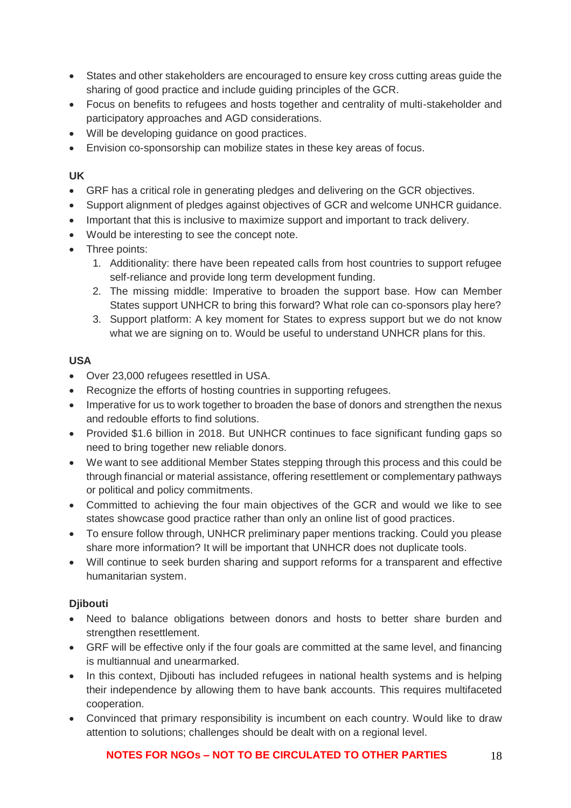- States and other stakeholders are encouraged to ensure key cross cutting areas guide the sharing of good practice and include guiding principles of the GCR.
- Focus on benefits to refugees and hosts together and centrality of multi-stakeholder and participatory approaches and AGD considerations.
- Will be developing guidance on good practices.
- Envision co-sponsorship can mobilize states in these key areas of focus.

### **UK**

- GRF has a critical role in generating pledges and delivering on the GCR objectives.
- Support alignment of pledges against objectives of GCR and welcome UNHCR guidance.
- Important that this is inclusive to maximize support and important to track delivery.
- Would be interesting to see the concept note.
- Three points:
	- 1. Additionality: there have been repeated calls from host countries to support refugee self-reliance and provide long term development funding.
	- 2. The missing middle: Imperative to broaden the support base. How can Member States support UNHCR to bring this forward? What role can co-sponsors play here?
	- 3. Support platform: A key moment for States to express support but we do not know what we are signing on to. Would be useful to understand UNHCR plans for this.

## **USA**

- Over 23,000 refugees resettled in USA.
- Recognize the efforts of hosting countries in supporting refugees.
- Imperative for us to work together to broaden the base of donors and strengthen the nexus and redouble efforts to find solutions.
- Provided \$1.6 billion in 2018. But UNHCR continues to face significant funding gaps so need to bring together new reliable donors.
- We want to see additional Member States stepping through this process and this could be through financial or material assistance, offering resettlement or complementary pathways or political and policy commitments.
- Committed to achieving the four main objectives of the GCR and would we like to see states showcase good practice rather than only an online list of good practices.
- To ensure follow through, UNHCR preliminary paper mentions tracking. Could you please share more information? It will be important that UNHCR does not duplicate tools.
- Will continue to seek burden sharing and support reforms for a transparent and effective humanitarian system.

## **Djibouti**

- Need to balance obligations between donors and hosts to better share burden and strengthen resettlement.
- GRF will be effective only if the four goals are committed at the same level, and financing is multiannual and unearmarked.
- In this context, Djibouti has included refugees in national health systems and is helping their independence by allowing them to have bank accounts. This requires multifaceted cooperation.
- Convinced that primary responsibility is incumbent on each country. Would like to draw attention to solutions; challenges should be dealt with on a regional level.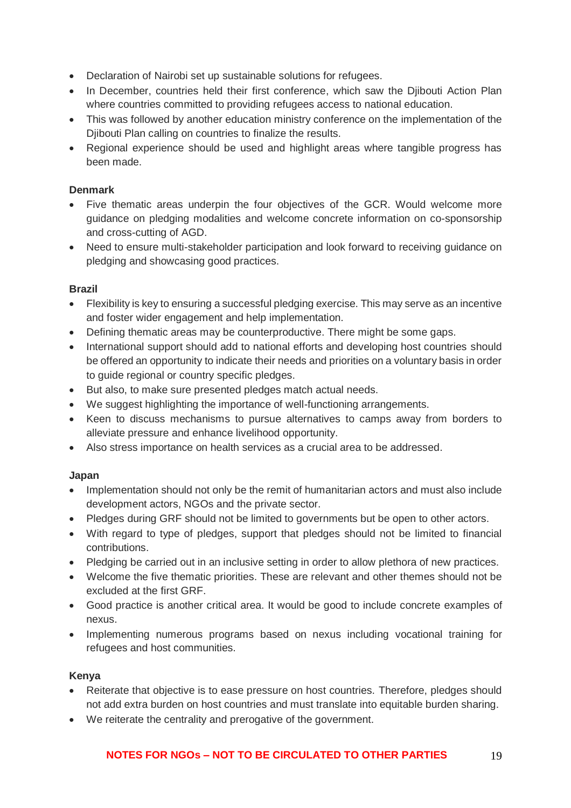- Declaration of Nairobi set up sustainable solutions for refugees.
- In December, countries held their first conference, which saw the Diibouti Action Plan where countries committed to providing refugees access to national education.
- This was followed by another education ministry conference on the implementation of the Diibouti Plan calling on countries to finalize the results.
- Regional experience should be used and highlight areas where tangible progress has been made.

## **Denmark**

- Five thematic areas underpin the four objectives of the GCR. Would welcome more guidance on pledging modalities and welcome concrete information on co-sponsorship and cross-cutting of AGD.
- Need to ensure multi-stakeholder participation and look forward to receiving quidance on pledging and showcasing good practices.

## **Brazil**

- Flexibility is key to ensuring a successful pledging exercise. This may serve as an incentive and foster wider engagement and help implementation.
- Defining thematic areas may be counterproductive. There might be some gaps.
- International support should add to national efforts and developing host countries should be offered an opportunity to indicate their needs and priorities on a voluntary basis in order to guide regional or country specific pledges.
- But also, to make sure presented pledges match actual needs.
- We suggest highlighting the importance of well-functioning arrangements.
- Keen to discuss mechanisms to pursue alternatives to camps away from borders to alleviate pressure and enhance livelihood opportunity.
- Also stress importance on health services as a crucial area to be addressed.

## **Japan**

- Implementation should not only be the remit of humanitarian actors and must also include development actors, NGOs and the private sector.
- Pledges during GRF should not be limited to governments but be open to other actors.
- With regard to type of pledges, support that pledges should not be limited to financial contributions.
- Pledging be carried out in an inclusive setting in order to allow plethora of new practices.
- Welcome the five thematic priorities. These are relevant and other themes should not be excluded at the first GRF.
- Good practice is another critical area. It would be good to include concrete examples of nexus.
- Implementing numerous programs based on nexus including vocational training for refugees and host communities.

## **Kenya**

- Reiterate that objective is to ease pressure on host countries. Therefore, pledges should not add extra burden on host countries and must translate into equitable burden sharing.
- We reiterate the centrality and prerogative of the government.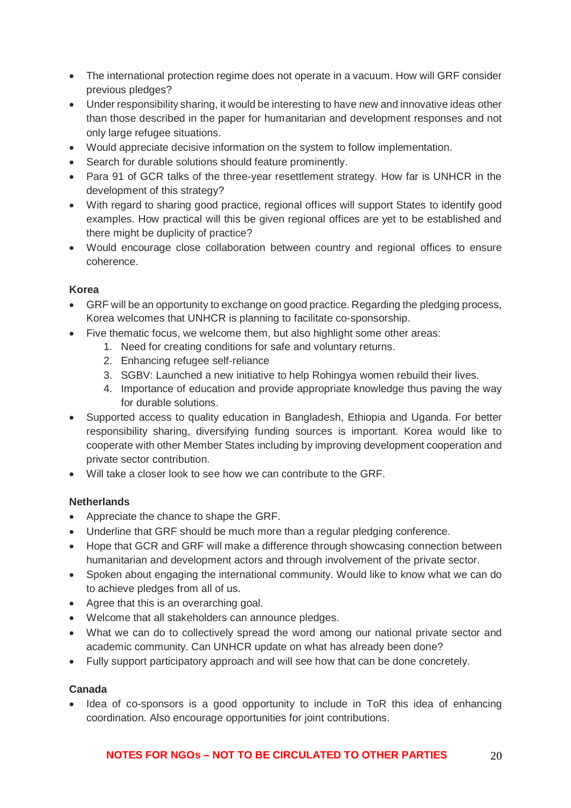- The international protection regime does not operate in a vacuum. How will GRF consider previous pledges?
- Under responsibility sharing, it would be interesting to have new and innovative ideas other than those described in the paper for humanitarian and development responses and not only large refugee situations.
- Would appreciate decisive information on the system to follow implementation.
- Search for durable solutions should feature prominently.
- Para 91 of GCR talks of the three-year resettlement strategy. How far is UNHCR in the development of this strategy?
- With regard to sharing good practice, regional offices will support States to identify good examples. How practical will this be given regional offices are yet to be established and there might be duplicity of practice?
- Would encourage close collaboration between country and regional offices to ensure coherence.

## **Korea**

- GRF will be an opportunity to exchange on good practice. Regarding the pledging process, Korea welcomes that UNHCR is planning to facilitate co-sponsorship.
- Five thematic focus, we welcome them, but also highlight some other areas:
	- 1. Need for creating conditions for safe and voluntary returns.
	- 2. Enhancing refugee self-reliance
	- 3. SGBV: Launched a new initiative to help Rohingya women rebuild their lives.
	- 4. Importance of education and provide appropriate knowledge thus paving the way for durable solutions.
- Supported access to quality education in Bangladesh, Ethiopia and Uganda. For better responsibility sharing, diversifying funding sources is important. Korea would like to cooperate with other Member States including by improving development cooperation and private sector contribution.
- Will take a closer look to see how we can contribute to the GRF.

# **Netherlands**

- Appreciate the chance to shape the GRF.
- Underline that GRF should be much more than a regular pledging conference.
- Hope that GCR and GRF will make a difference through showcasing connection between humanitarian and development actors and through involvement of the private sector.
- Spoken about engaging the international community. Would like to know what we can do to achieve pledges from all of us.
- Agree that this is an overarching goal.
- Welcome that all stakeholders can announce pledges.
- What we can do to collectively spread the word among our national private sector and academic community. Can UNHCR update on what has already been done?
- Fully support participatory approach and will see how that can be done concretely.

## **Canada**

• Idea of co-sponsors is a good opportunity to include in ToR this idea of enhancing coordination. Also encourage opportunities for joint contributions.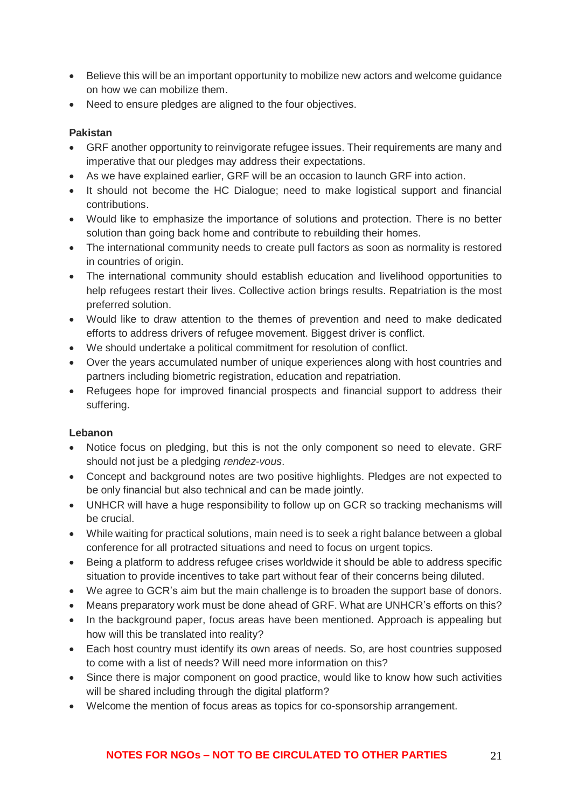- Believe this will be an important opportunity to mobilize new actors and welcome guidance on how we can mobilize them.
- Need to ensure pledges are aligned to the four objectives.

## **Pakistan**

- GRF another opportunity to reinvigorate refugee issues. Their requirements are many and imperative that our pledges may address their expectations.
- As we have explained earlier, GRF will be an occasion to launch GRF into action.
- It should not become the HC Dialogue; need to make logistical support and financial contributions.
- Would like to emphasize the importance of solutions and protection. There is no better solution than going back home and contribute to rebuilding their homes.
- The international community needs to create pull factors as soon as normality is restored in countries of origin.
- The international community should establish education and livelihood opportunities to help refugees restart their lives. Collective action brings results. Repatriation is the most preferred solution.
- Would like to draw attention to the themes of prevention and need to make dedicated efforts to address drivers of refugee movement. Biggest driver is conflict.
- We should undertake a political commitment for resolution of conflict.
- Over the years accumulated number of unique experiences along with host countries and partners including biometric registration, education and repatriation.
- Refugees hope for improved financial prospects and financial support to address their suffering.

## **Lebanon**

- Notice focus on pledging, but this is not the only component so need to elevate. GRF should not just be a pledging *rendez-vous*.
- Concept and background notes are two positive highlights. Pledges are not expected to be only financial but also technical and can be made jointly.
- UNHCR will have a huge responsibility to follow up on GCR so tracking mechanisms will be crucial.
- While waiting for practical solutions, main need is to seek a right balance between a global conference for all protracted situations and need to focus on urgent topics.
- Being a platform to address refugee crises worldwide it should be able to address specific situation to provide incentives to take part without fear of their concerns being diluted.
- We agree to GCR's aim but the main challenge is to broaden the support base of donors.
- Means preparatory work must be done ahead of GRF. What are UNHCR's efforts on this?
- In the background paper, focus areas have been mentioned. Approach is appealing but how will this be translated into reality?
- Each host country must identify its own areas of needs. So, are host countries supposed to come with a list of needs? Will need more information on this?
- Since there is major component on good practice, would like to know how such activities will be shared including through the digital platform?
- Welcome the mention of focus areas as topics for co-sponsorship arrangement.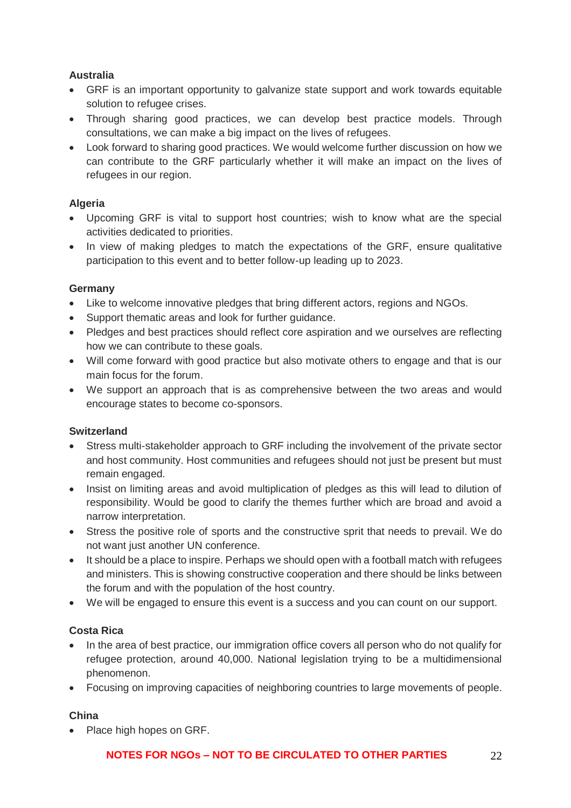## **Australia**

- GRF is an important opportunity to galvanize state support and work towards equitable solution to refugee crises.
- Through sharing good practices, we can develop best practice models. Through consultations, we can make a big impact on the lives of refugees.
- Look forward to sharing good practices. We would welcome further discussion on how we can contribute to the GRF particularly whether it will make an impact on the lives of refugees in our region.

## **Algeria**

- Upcoming GRF is vital to support host countries; wish to know what are the special activities dedicated to priorities.
- In view of making pledges to match the expectations of the GRF, ensure qualitative participation to this event and to better follow-up leading up to 2023.

## **Germany**

- Like to welcome innovative pledges that bring different actors, regions and NGOs.
- Support thematic areas and look for further guidance.
- Pledges and best practices should reflect core aspiration and we ourselves are reflecting how we can contribute to these goals.
- Will come forward with good practice but also motivate others to engage and that is our main focus for the forum.
- We support an approach that is as comprehensive between the two areas and would encourage states to become co-sponsors.

## **Switzerland**

- Stress multi-stakeholder approach to GRF including the involvement of the private sector and host community. Host communities and refugees should not just be present but must remain engaged.
- Insist on limiting areas and avoid multiplication of pledges as this will lead to dilution of responsibility. Would be good to clarify the themes further which are broad and avoid a narrow interpretation.
- Stress the positive role of sports and the constructive sprit that needs to prevail. We do not want just another UN conference.
- It should be a place to inspire. Perhaps we should open with a football match with refugees and ministers. This is showing constructive cooperation and there should be links between the forum and with the population of the host country.
- We will be engaged to ensure this event is a success and you can count on our support.

## **Costa Rica**

- In the area of best practice, our immigration office covers all person who do not qualify for refugee protection, around 40,000. National legislation trying to be a multidimensional phenomenon.
- Focusing on improving capacities of neighboring countries to large movements of people.

## **China**

• Place high hopes on GRF.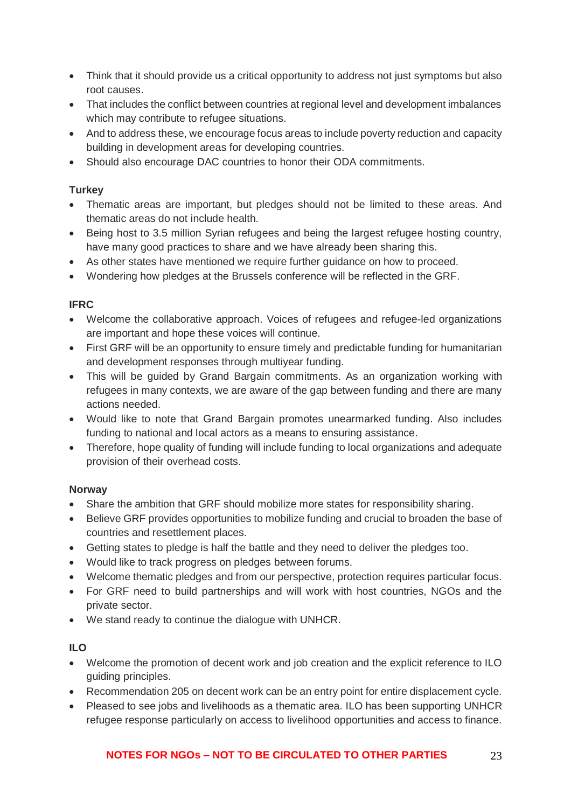- Think that it should provide us a critical opportunity to address not just symptoms but also root causes.
- That includes the conflict between countries at regional level and development imbalances which may contribute to refugee situations.
- And to address these, we encourage focus areas to include poverty reduction and capacity building in development areas for developing countries.
- Should also encourage DAC countries to honor their ODA commitments.

## **Turkey**

- Thematic areas are important, but pledges should not be limited to these areas. And thematic areas do not include health.
- Being host to 3.5 million Syrian refugees and being the largest refugee hosting country, have many good practices to share and we have already been sharing this.
- As other states have mentioned we require further guidance on how to proceed.
- Wondering how pledges at the Brussels conference will be reflected in the GRF.

# **IFRC**

- Welcome the collaborative approach. Voices of refugees and refugee-led organizations are important and hope these voices will continue.
- First GRF will be an opportunity to ensure timely and predictable funding for humanitarian and development responses through multiyear funding.
- This will be guided by Grand Bargain commitments. As an organization working with refugees in many contexts, we are aware of the gap between funding and there are many actions needed.
- Would like to note that Grand Bargain promotes unearmarked funding. Also includes funding to national and local actors as a means to ensuring assistance.
- Therefore, hope quality of funding will include funding to local organizations and adequate provision of their overhead costs.

## **Norway**

- Share the ambition that GRF should mobilize more states for responsibility sharing.
- Believe GRF provides opportunities to mobilize funding and crucial to broaden the base of countries and resettlement places.
- Getting states to pledge is half the battle and they need to deliver the pledges too.
- Would like to track progress on pledges between forums.
- Welcome thematic pledges and from our perspective, protection requires particular focus.
- For GRF need to build partnerships and will work with host countries, NGOs and the private sector.
- We stand ready to continue the dialogue with UNHCR.

# **ILO**

- Welcome the promotion of decent work and job creation and the explicit reference to ILO guiding principles.
- Recommendation 205 on decent work can be an entry point for entire displacement cycle.
- Pleased to see jobs and livelihoods as a thematic area. ILO has been supporting UNHCR refugee response particularly on access to livelihood opportunities and access to finance.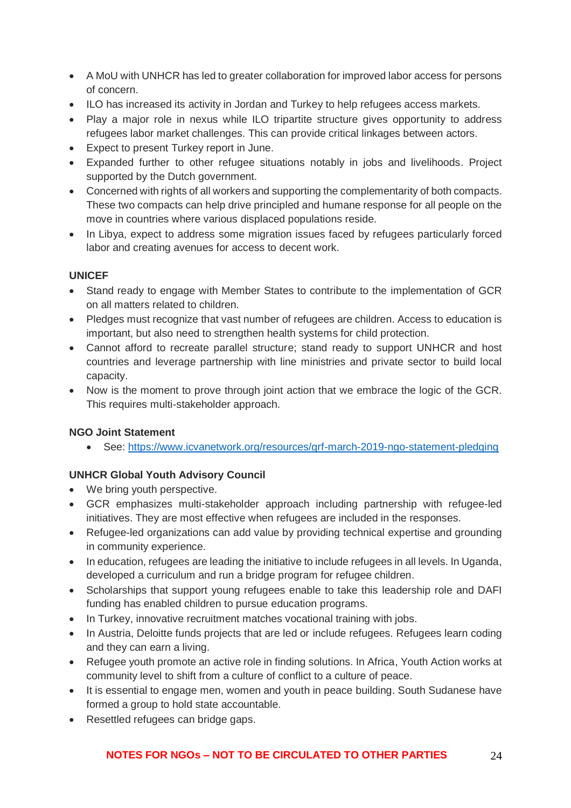- A MoU with UNHCR has led to greater collaboration for improved labor access for persons of concern.
- ILO has increased its activity in Jordan and Turkey to help refugees access markets.
- Play a major role in nexus while ILO tripartite structure gives opportunity to address refugees labor market challenges. This can provide critical linkages between actors.
- Expect to present Turkey report in June.
- Expanded further to other refugee situations notably in jobs and livelihoods. Project supported by the Dutch government.
- Concerned with rights of all workers and supporting the complementarity of both compacts. These two compacts can help drive principled and humane response for all people on the move in countries where various displaced populations reside.
- In Libya, expect to address some migration issues faced by refugees particularly forced labor and creating avenues for access to decent work.

## **UNICEF**

- Stand ready to engage with Member States to contribute to the implementation of GCR on all matters related to children.
- Pledges must recognize that vast number of refugees are children. Access to education is important, but also need to strengthen health systems for child protection.
- Cannot afford to recreate parallel structure; stand ready to support UNHCR and host countries and leverage partnership with line ministries and private sector to build local capacity.
- Now is the moment to prove through joint action that we embrace the logic of the GCR. This requires multi-stakeholder approach.

## **NGO Joint Statement**

• See: <https://www.icvanetwork.org/resources/grf-march-2019-ngo-statement-pledging>

# **UNHCR Global Youth Advisory Council**

- We bring youth perspective.
- GCR emphasizes multi-stakeholder approach including partnership with refugee-led initiatives. They are most effective when refugees are included in the responses.
- Refugee-led organizations can add value by providing technical expertise and grounding in community experience.
- In education, refugees are leading the initiative to include refugees in all levels. In Uganda, developed a curriculum and run a bridge program for refugee children.
- Scholarships that support young refugees enable to take this leadership role and DAFI funding has enabled children to pursue education programs.
- In Turkey, innovative recruitment matches vocational training with jobs.
- In Austria, Deloitte funds projects that are led or include refugees. Refugees learn coding and they can earn a living.
- Refugee youth promote an active role in finding solutions. In Africa, Youth Action works at community level to shift from a culture of conflict to a culture of peace.
- It is essential to engage men, women and youth in peace building. South Sudanese have formed a group to hold state accountable.
- Resettled refugees can bridge gaps.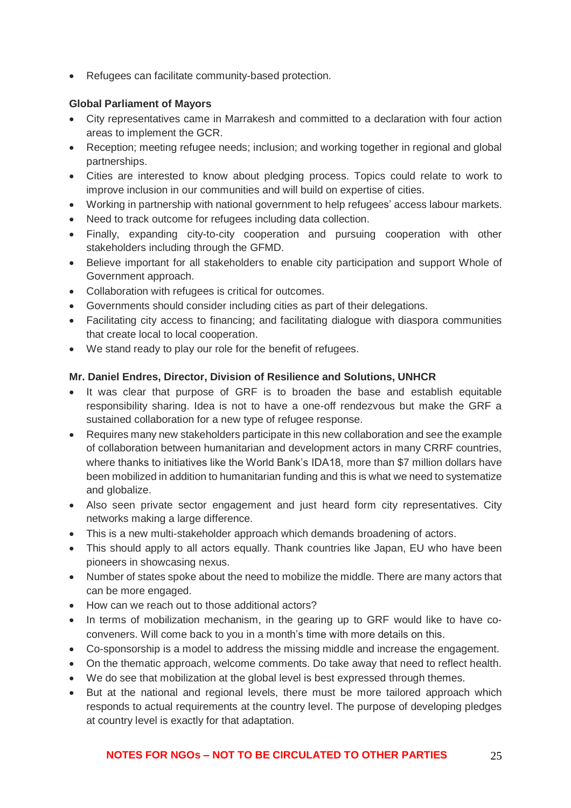• Refugees can facilitate community-based protection.

### **Global Parliament of Mayors**

- City representatives came in Marrakesh and committed to a declaration with four action areas to implement the GCR.
- Reception; meeting refugee needs; inclusion; and working together in regional and global partnerships.
- Cities are interested to know about pledging process. Topics could relate to work to improve inclusion in our communities and will build on expertise of cities.
- Working in partnership with national government to help refugees' access labour markets.
- Need to track outcome for refugees including data collection.
- Finally, expanding city-to-city cooperation and pursuing cooperation with other stakeholders including through the GFMD.
- Believe important for all stakeholders to enable city participation and support Whole of Government approach.
- Collaboration with refugees is critical for outcomes.
- Governments should consider including cities as part of their delegations.
- Facilitating city access to financing; and facilitating dialogue with diaspora communities that create local to local cooperation.
- We stand ready to play our role for the benefit of refugees.

## **Mr. Daniel Endres, Director, Division of Resilience and Solutions, UNHCR**

- It was clear that purpose of GRF is to broaden the base and establish equitable responsibility sharing. Idea is not to have a one-off rendezvous but make the GRF a sustained collaboration for a new type of refugee response.
- Requires many new stakeholders participate in this new collaboration and see the example of collaboration between humanitarian and development actors in many CRRF countries, where thanks to initiatives like the World Bank's IDA18, more than \$7 million dollars have been mobilized in addition to humanitarian funding and this is what we need to systematize and globalize.
- Also seen private sector engagement and just heard form city representatives. City networks making a large difference.
- This is a new multi-stakeholder approach which demands broadening of actors.
- This should apply to all actors equally. Thank countries like Japan, EU who have been pioneers in showcasing nexus.
- Number of states spoke about the need to mobilize the middle. There are many actors that can be more engaged.
- How can we reach out to those additional actors?
- In terms of mobilization mechanism, in the gearing up to GRF would like to have coconveners. Will come back to you in a month's time with more details on this.
- Co-sponsorship is a model to address the missing middle and increase the engagement.
- On the thematic approach, welcome comments. Do take away that need to reflect health.
- We do see that mobilization at the global level is best expressed through themes.
- But at the national and regional levels, there must be more tailored approach which responds to actual requirements at the country level. The purpose of developing pledges at country level is exactly for that adaptation.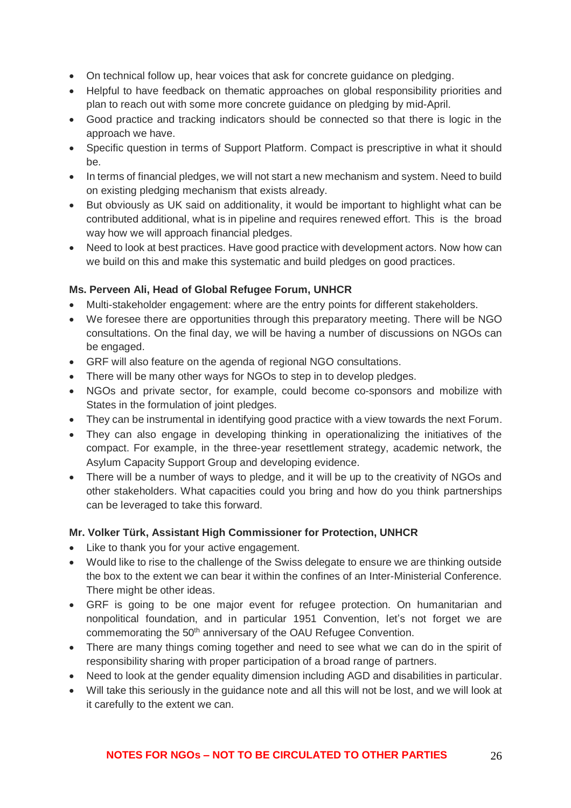- On technical follow up, hear voices that ask for concrete guidance on pledging.
- Helpful to have feedback on thematic approaches on global responsibility priorities and plan to reach out with some more concrete guidance on pledging by mid-April.
- Good practice and tracking indicators should be connected so that there is logic in the approach we have.
- Specific question in terms of Support Platform. Compact is prescriptive in what it should be.
- In terms of financial pledges, we will not start a new mechanism and system. Need to build on existing pledging mechanism that exists already.
- But obviously as UK said on additionality, it would be important to highlight what can be contributed additional, what is in pipeline and requires renewed effort. This is the broad way how we will approach financial pledges.
- Need to look at best practices. Have good practice with development actors. Now how can we build on this and make this systematic and build pledges on good practices.

## **Ms. Perveen Ali, Head of Global Refugee Forum, UNHCR**

- Multi-stakeholder engagement: where are the entry points for different stakeholders.
- We foresee there are opportunities through this preparatory meeting. There will be NGO consultations. On the final day, we will be having a number of discussions on NGOs can be engaged.
- GRF will also feature on the agenda of regional NGO consultations.
- There will be many other ways for NGOs to step in to develop pledges.
- NGOs and private sector, for example, could become co-sponsors and mobilize with States in the formulation of joint pledges.
- They can be instrumental in identifying good practice with a view towards the next Forum.
- They can also engage in developing thinking in operationalizing the initiatives of the compact. For example, in the three-year resettlement strategy, academic network, the Asylum Capacity Support Group and developing evidence.
- There will be a number of ways to pledge, and it will be up to the creativity of NGOs and other stakeholders. What capacities could you bring and how do you think partnerships can be leveraged to take this forward.

# **Mr. Volker Türk, Assistant High Commissioner for Protection, UNHCR**

- Like to thank you for your active engagement.
- Would like to rise to the challenge of the Swiss delegate to ensure we are thinking outside the box to the extent we can bear it within the confines of an Inter-Ministerial Conference. There might be other ideas.
- GRF is going to be one major event for refugee protection. On humanitarian and nonpolitical foundation, and in particular 1951 Convention, let's not forget we are commemorating the 50<sup>th</sup> anniversary of the OAU Refugee Convention.
- There are many things coming together and need to see what we can do in the spirit of responsibility sharing with proper participation of a broad range of partners.
- Need to look at the gender equality dimension including AGD and disabilities in particular.
- Will take this seriously in the guidance note and all this will not be lost, and we will look at it carefully to the extent we can.